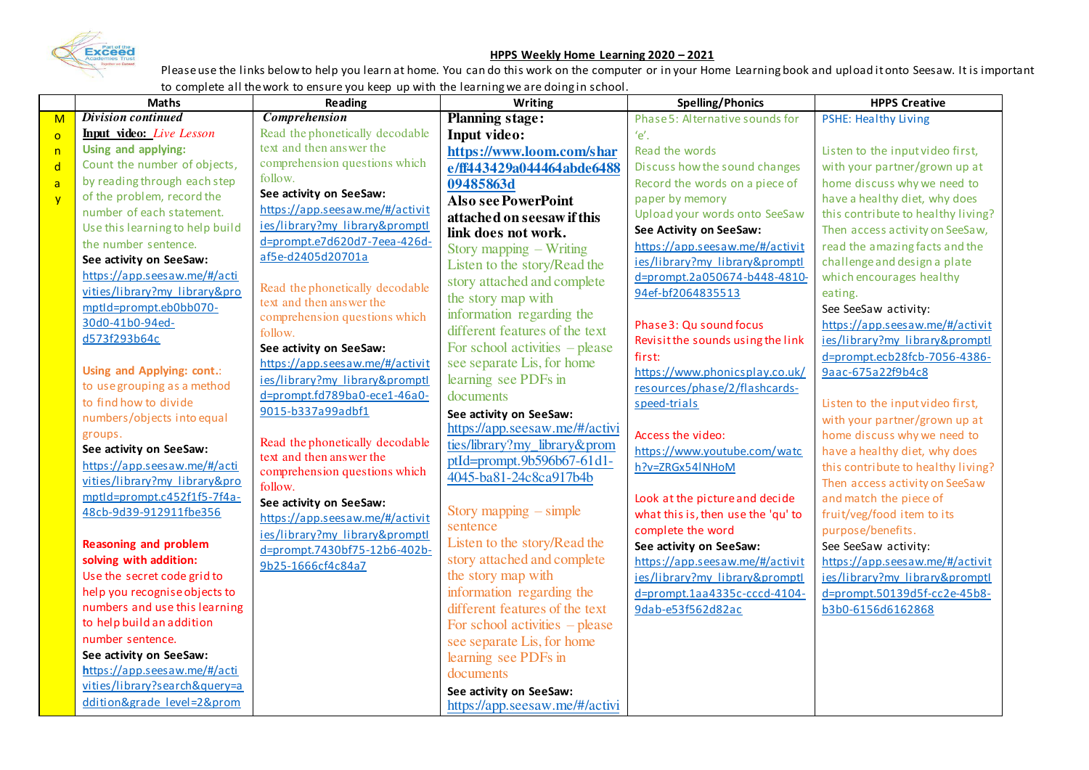

## **HPPS Weekly Home Learning 2020 – 2021**

Please use the links below to help you learn at home. You can do this work on the computer or in your Home Learning book and upload it onto Seesaw. It is important to complete all the work to ensure you keep up with the learning we are doing in school.

|                | <b>Maths</b>                    | Reading                                                        | Writing                               | <b>Spelling/Phonics</b>            | <b>HPPS Creative</b>               |
|----------------|---------------------------------|----------------------------------------------------------------|---------------------------------------|------------------------------------|------------------------------------|
| M              | <b>Division continued</b>       | <b>Comprehension</b>                                           | <b>Planning stage:</b>                | Phase 5: Alternative sounds for    | PSHE: Healthy Living               |
| $\overline{O}$ | Input video: Live Lesson        | Read the phonetically decodable                                | Input video:                          | $'e'$ .                            |                                    |
| n              | Using and applying:             | text and then answer the                                       | https://www.loom.com/shar             | Read the words                     | Listen to the input video first,   |
| $\mathsf{d}$   | Count the number of objects,    | comprehension questions which                                  | e/ff443429a044464abde6488             | Discuss how the sound changes      | with your partner/grown up at      |
| $\overline{a}$ | by reading through each step    | follow.                                                        | 09485863d                             | Record the words on a piece of     | home discuss why we need to        |
| $\overline{y}$ | of the problem, record the      | See activity on SeeSaw:                                        | <b>Also see PowerPoint</b>            | paper by memory                    | have a healthy diet, why does      |
|                | number of each statement.       | https://app.seesaw.me/#/activit                                | attached on seesaw if this            | Upload your words onto SeeSaw      | this contribute to healthy living? |
|                | Use this learning to help build | ies/library?my library&promptl                                 | link does not work.                   | See Activity on SeeSaw:            | Then access activity on SeeSaw,    |
|                | the number sentence.            | d=prompt.e7d620d7-7eea-426d-                                   | Story mapping – Writing               | https://app.seesaw.me/#/activit    | read the amazing facts and the     |
|                | See activity on SeeSaw:         | af5e-d2405d20701a                                              | Listen to the story/Read the          | ies/library?my library&promptl     | challenge and design a plate       |
|                | https://app.seesaw.me/#/acti    |                                                                | story attached and complete           | d=prompt.2a050674-b448-4810-       | which encourages healthy           |
|                | vities/library?my library&pro   | Read the phonetically decodable                                | the story map with                    | 94ef-bf2064835513                  | eating.                            |
|                | mptld=prompt.eb0bb070-          | text and then answer the                                       | information regarding the             |                                    | See SeeSaw activity:               |
|                | 30d0-41b0-94ed-                 | comprehension questions which<br>follow.                       | different features of the text        | Phase 3: Qu sound focus            | https://app.seesaw.me/#/activit    |
|                | d573f293b64c                    | See activity on SeeSaw:                                        | For school activities $-$ please      | Revisit the sounds using the link  | ies/library?my library&promptl     |
|                |                                 | https://app.seesaw.me/#/activit                                | see separate Lis, for home            | first:                             | d=prompt.ecb28fcb-7056-4386-       |
|                | Using and Applying: cont.:      |                                                                | learning see PDFs in                  | https://www.phonicsplay.co.uk/     | 9aac-675a22f9b4c8                  |
|                | to use grouping as a method     | ies/library?my library&promptl<br>d=prompt.fd789ba0-ece1-46a0- | documents                             | resources/phase/2/flashcards-      |                                    |
|                | to find how to divide           | 9015-b337a99adbf1                                              |                                       | speed-trials                       | Listen to the input video first,   |
|                | numbers/objects into equal      |                                                                | See activity on SeeSaw:               |                                    | with your partner/grown up at      |
|                | groups.                         | Read the phonetically decodable                                | https://app.seesaw.me/#/activi        | Access the video:                  | home discuss why we need to        |
|                | See activity on SeeSaw:         | text and then answer the                                       | ties/library?my library&prom          | https://www.youtube.com/watc       | have a healthy diet, why does      |
|                | https://app.seesaw.me/#/acti    | comprehension questions which                                  | ptId=prompt.9b596b67-61d1-            | h?v=ZRGx54INHoM                    | this contribute to healthy living? |
|                | vities/library?my library&pro   | follow.                                                        | 4045-ba81-24c8ca917b4b                |                                    | Then access activity on SeeSaw     |
|                | mptld=prompt.c452f1f5-7f4a-     | See activity on SeeSaw:                                        |                                       | Look at the picture and decide     | and match the piece of             |
|                | 48cb-9d39-912911fbe356          | https://app.seesaw.me/#/activit                                | Story mapping $-$ simple              | what this is, then use the 'qu' to | fruit/veg/food item to its         |
|                |                                 | ies/library?my library&promptl                                 | sentence                              | complete the word                  | purpose/benefits.                  |
|                | <b>Reasoning and problem</b>    | d=prompt.7430bf75-12b6-402b-                                   | Listen to the story/Read the          | See activity on SeeSaw:            | See SeeSaw activity:               |
|                | solving with addition:          | 9b25-1666cf4c84a7                                              | story attached and complete           | https://app.seesaw.me/#/activit    | https://app.seesaw.me/#/activit    |
|                | Use the secret code grid to     |                                                                | the story map with                    | ies/library?my library&promptl     | ies/library?my library&promptl     |
|                | help you recognise objects to   |                                                                | information regarding the             | $d = prompt.1aa4335c-cccd-4104-$   | d=prompt.50139d5f-cc2e-45b8-       |
|                | numbers and use this learning   |                                                                | different features of the text        | 9dab-e53f562d82ac                  | b3b0-6156d6162868                  |
|                | to help build an addition       |                                                                | For school activities $-\beta$ please |                                    |                                    |
|                | number sentence.                |                                                                | see separate Lis, for home            |                                    |                                    |
|                | See activity on SeeSaw:         |                                                                | learning see PDFs in                  |                                    |                                    |
|                | https://app.seesaw.me/#/acti    |                                                                | documents                             |                                    |                                    |
|                | vities/library?search&query=a   |                                                                | See activity on SeeSaw:               |                                    |                                    |
|                | ddition&grade level=2&prom      |                                                                | https://app.seesaw.me/#/activi        |                                    |                                    |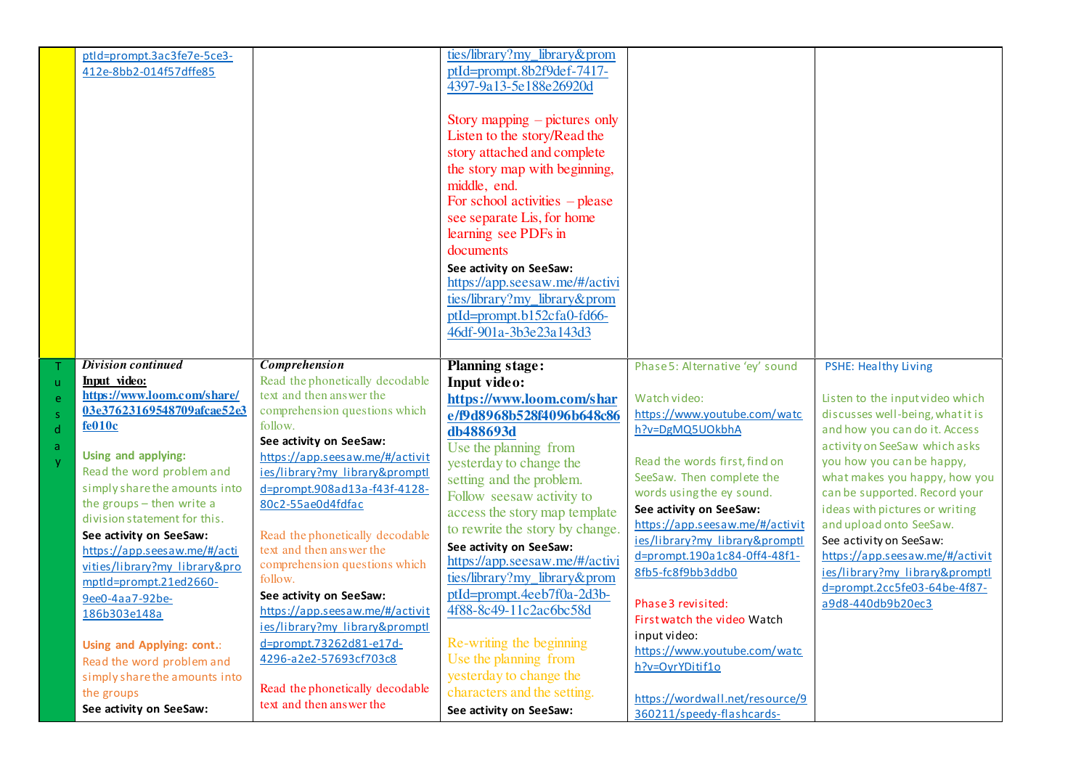|                        | ptld=prompt.3ac3fe7e-5ce3-<br>412e-8bb2-014f57dffe85                                                                                                                                                                                                                                                                                                           |                                                                                                                                                                                                                                                                                                                                                                                                    | ties/library?my_library&prom<br>ptId=prompt.8b2f9def-7417-<br>4397-9a13-5e188e26920d                                                                                                                                                                                                                                                                                                                      |                                                                                                                                                                                                                                                                                                                                       |                                                                                                                                                                                                                                                                                                                                                                                                                                                        |
|------------------------|----------------------------------------------------------------------------------------------------------------------------------------------------------------------------------------------------------------------------------------------------------------------------------------------------------------------------------------------------------------|----------------------------------------------------------------------------------------------------------------------------------------------------------------------------------------------------------------------------------------------------------------------------------------------------------------------------------------------------------------------------------------------------|-----------------------------------------------------------------------------------------------------------------------------------------------------------------------------------------------------------------------------------------------------------------------------------------------------------------------------------------------------------------------------------------------------------|---------------------------------------------------------------------------------------------------------------------------------------------------------------------------------------------------------------------------------------------------------------------------------------------------------------------------------------|--------------------------------------------------------------------------------------------------------------------------------------------------------------------------------------------------------------------------------------------------------------------------------------------------------------------------------------------------------------------------------------------------------------------------------------------------------|
|                        |                                                                                                                                                                                                                                                                                                                                                                |                                                                                                                                                                                                                                                                                                                                                                                                    | Story mapping $-$ pictures only<br>Listen to the story/Read the<br>story attached and complete<br>the story map with beginning,<br>middle, end.<br>For school activities $-$ please<br>see separate Lis, for home<br>learning see PDFs in<br>documents<br>See activity on SeeSaw:<br>https://app.seesaw.me/#/activi<br>ties/library?my_library&prom<br>ptId=prompt.b152cfa0-fd66-                         |                                                                                                                                                                                                                                                                                                                                       |                                                                                                                                                                                                                                                                                                                                                                                                                                                        |
|                        |                                                                                                                                                                                                                                                                                                                                                                |                                                                                                                                                                                                                                                                                                                                                                                                    | 46df-901a-3b3e23a143d3                                                                                                                                                                                                                                                                                                                                                                                    |                                                                                                                                                                                                                                                                                                                                       |                                                                                                                                                                                                                                                                                                                                                                                                                                                        |
| ū                      | <b>Division continued</b><br>Input video:                                                                                                                                                                                                                                                                                                                      | <b>Comprehension</b><br>Read the phonetically decodable                                                                                                                                                                                                                                                                                                                                            | <b>Planning stage:</b><br>Input video:                                                                                                                                                                                                                                                                                                                                                                    | Phase 5: Alternative 'ey' sound                                                                                                                                                                                                                                                                                                       | <b>PSHE: Healthy Living</b>                                                                                                                                                                                                                                                                                                                                                                                                                            |
| e<br>Š.<br>d<br>a<br>v | https://www.loom.com/share/<br>03e37623169548709afcae52e3<br>fe010c<br>Using and applying:<br>Read the word problem and<br>simply share the amounts into<br>the groups - then write a<br>division statement for this.<br>See activity on SeeSaw:<br>https://app.seesaw.me/#/acti<br>vities/library?my library&pro<br>mptld=prompt.21ed2660-<br>9ee0-4aa7-92be- | text and then answer the<br>comprehension questions which<br>follow.<br>See activity on SeeSaw:<br>https://app.seesaw.me/#/activit<br>ies/library?my library&promptl<br>d=prompt.908ad13a-f43f-4128-<br>80c2-55ae0d4fdfac<br>Read the phonetically decodable<br>text and then answer the<br>comprehension questions which<br>follow.<br>See activity on SeeSaw:<br>https://app.seesaw.me/#/activit | https://www.loom.com/shar<br>e/f9d8968b528f4096b648c86<br>db488693d<br>Use the planning from<br>yesterday to change the<br>setting and the problem.<br>Follow seesaw activity to<br>access the story map template<br>to rewrite the story by change.<br>See activity on SeeSaw:<br>https://app.seesaw.me/#/activi<br>ties/library?my_library&prom<br>ptId=prompt.4eeb7f0a-2d3b-<br>4f88-8c49-11c2ac6bc58d | Watch video:<br>https://www.youtube.com/watc<br>h?v=DgMQ5UOkbhA<br>Read the words first, find on<br>SeeSaw. Then complete the<br>words using the ey sound.<br>See activity on SeeSaw:<br>https://app.seesaw.me/#/activit<br>ies/library?my library&promptl<br>d=prompt.190a1c84-0ff4-48f1-<br>8fb5-fc8f9bb3ddb0<br>Phase 3 revisited: | Listen to the input video which<br>discusses well-being, what it is<br>and how you can do it. Access<br>activity on SeeSaw which asks<br>you how you can be happy,<br>what makes you happy, how you<br>can be supported. Record your<br>ideas with pictures or writing<br>and upload onto SeeSaw.<br>See activity on SeeSaw:<br>https://app.seesaw.me/#/activit<br>ies/library?my library&promptl<br>d=prompt.2cc5fe03-64be-4f87-<br>a9d8-440db9b20ec3 |
|                        | 186b303e148a<br>Using and Applying: cont.:<br>Read the word problem and<br>simply share the amounts into<br>the groups<br>See activity on SeeSaw:                                                                                                                                                                                                              | ies/library?my library&promptl<br>d=prompt.73262d81-e17d-<br>4296-a2e2-57693cf703c8<br>Read the phonetically decodable<br>text and then answer the                                                                                                                                                                                                                                                 | Re-writing the beginning<br>Use the planning from<br>yesterday to change the<br>characters and the setting.<br>See activity on SeeSaw:                                                                                                                                                                                                                                                                    | First watch the video Watch<br>input video:<br>https://www.youtube.com/watc<br>h?v=OyrYDitif1o<br>https://wordwall.net/resource/9<br>360211/speedy-flashcards-                                                                                                                                                                        |                                                                                                                                                                                                                                                                                                                                                                                                                                                        |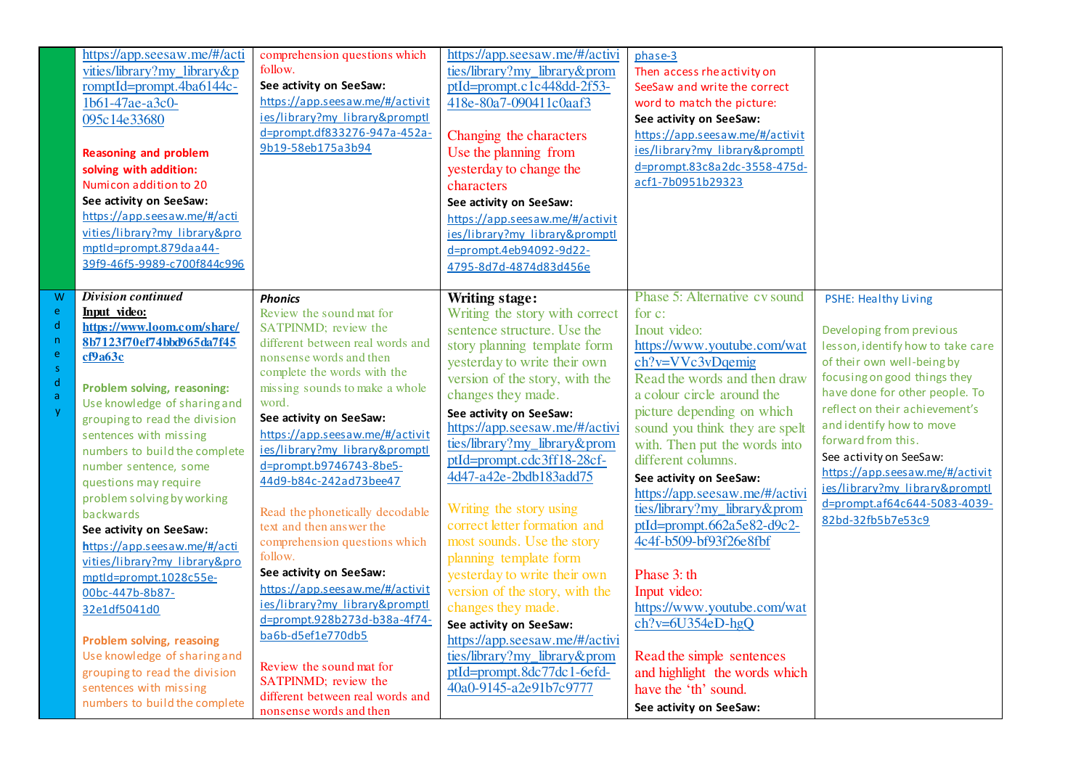|     | https://app.seesaw.me/#/acti  | comprehension questions which    | https://app.seesaw.me/#/activi  | phase-3                         |                                   |
|-----|-------------------------------|----------------------------------|---------------------------------|---------------------------------|-----------------------------------|
|     | vities/library?my_library&p   | follow.                          | ties/library?my_library&prom    | Then access rhe activity on     |                                   |
|     | romptId=prompt.4ba6144c-      | See activity on SeeSaw:          | ptId=prompt.c1c448dd-2f53-      | SeeSaw and write the correct    |                                   |
|     | 1b61-47ae-a3c0-               | https://app.seesaw.me/#/activit  | 418e-80a7-090411c0aaf3          | word to match the picture:      |                                   |
|     | 095c14e33680                  | ies/library?my library&promptl   |                                 | See activity on SeeSaw:         |                                   |
|     |                               | d=prompt.df833276-947a-452a-     | Changing the characters         | https://app.seesaw.me/#/activit |                                   |
|     | <b>Reasoning and problem</b>  | 9b19-58eb175a3b94                | Use the planning from           | ies/library?my library&promptl  |                                   |
|     | solving with addition:        |                                  | yesterday to change the         | d=prompt.83c8a2dc-3558-475d-    |                                   |
|     | Numicon addition to 20        |                                  | characters                      | acf1-7b0951b29323               |                                   |
|     | See activity on SeeSaw:       |                                  | See activity on SeeSaw:         |                                 |                                   |
|     | https://app.seesaw.me/#/acti  |                                  | https://app.seesaw.me/#/activit |                                 |                                   |
|     | vities/library?my library&pro |                                  | ies/library?my library&promptl  |                                 |                                   |
|     | mptld=prompt.879daa44-        |                                  | d=prompt.4eb94092-9d22-         |                                 |                                   |
|     | 39f9-46f5-9989-c700f844c996   |                                  | 4795-8d7d-4874d83d456e          |                                 |                                   |
|     |                               |                                  |                                 |                                 |                                   |
| W   | <b>Division continued</b>     | <b>Phonics</b>                   | <b>Writing stage:</b>           | Phase 5: Alternative cv sound   | PSHE: Healthy Living              |
| e   | Input video:                  | Review the sound mat for         | Writing the story with correct  | for c:                          |                                   |
| d   | https://www.loom.com/share/   | SATPINMD; review the             | sentence structure. Use the     | Inout video:                    | Developing from previous          |
| 'n. | 8b7123f70ef74bbd965da7f45     | different between real words and | story planning template form    | https://www.youtube.com/wat     | lesson, identify how to take care |
| e   | cf9a63c                       | nonsense words and then          | yesterday to write their own    | ch?v=VVc3vDqemig                | of their own well-being by        |
| Š,  |                               | complete the words with the      | version of the story, with the  | Read the words and then draw    | focusing on good things they      |
| ď   | Problem solving, reasoning:   | missing sounds to make a whole   |                                 |                                 | have done for other people. To    |
| ă   | Use knowledge of sharing and  | word.                            | changes they made.              | a colour circle around the      | reflect on their achievement's    |
|     | grouping to read the division | See activity on SeeSaw:          | See activity on SeeSaw:         | picture depending on which      | and identify how to move          |
|     | sentences with missing        | https://app.seesaw.me/#/activit  | https://app.seesaw.me/#/activi  | sound you think they are spelt  | forward from this.                |
|     | numbers to build the complete | ies/library?my library&promptl   | ties/library?my_library&prom    | with. Then put the words into   | See activity on SeeSaw:           |
|     | number sentence, some         | d=prompt.b9746743-8be5-          | ptId=prompt.cdc3ff18-28cf-      | different columns.              | https://app.seesaw.me/#/activit   |
|     | questions may require         | 44d9-b84c-242ad73bee47           | 4d47-a42e-2bdb183add75          | See activity on SeeSaw:         | ies/library?my library&promptl    |
|     | problem solving by working    |                                  |                                 | https://app.seesaw.me/#/activi  | d=prompt.af64c644-5083-4039-      |
|     | backwards                     | Read the phonetically decodable  | Writing the story using         | ties/library?my library&prom    | 82bd-32fb5b7e53c9                 |
|     | See activity on SeeSaw:       | text and then answer the         | correct letter formation and    | $ptId=prompt.662a5e82-d9c2-$    |                                   |
|     | https://app.seesaw.me/#/acti  | comprehension questions which    | most sounds. Use the story      | 4c4f-b509-bf93f26e8fbf          |                                   |
|     | vities/library?my library&pro | follow.                          | planning template form          |                                 |                                   |
|     | mptld=prompt.1028c55e-        | See activity on SeeSaw:          | yesterday to write their own    | Phase 3: th                     |                                   |
|     | 00bc-447b-8b87-               | https://app.seesaw.me/#/activit  | version of the story, with the  | Input video:                    |                                   |
|     | 32e1df5041d0                  | ies/library?my library&promptl   | changes they made.              | https://www.youtube.com/wat     |                                   |
|     |                               | d=prompt.928b273d-b38a-4f74-     | See activity on SeeSaw:         | $ch?v=6U354eD-hgQ$              |                                   |
|     | Problem solving, reasoing     | ba6b-d5ef1e770db5                | https://app.seesaw.me/#/activi  |                                 |                                   |
|     | Use knowledge of sharing and  |                                  | ties/library?my_library&prom    | Read the simple sentences       |                                   |
|     | grouping to read the division | Review the sound mat for         | ptId=prompt.8dc77dc1-6efd-      | and highlight the words which   |                                   |
|     | sentences with missing        | SATPINMD; review the             | 40a0-9145-a2e91b7c9777          | have the 'th' sound.            |                                   |
|     | numbers to build the complete | different between real words and |                                 | See activity on SeeSaw:         |                                   |
|     |                               | nonsense words and then          |                                 |                                 |                                   |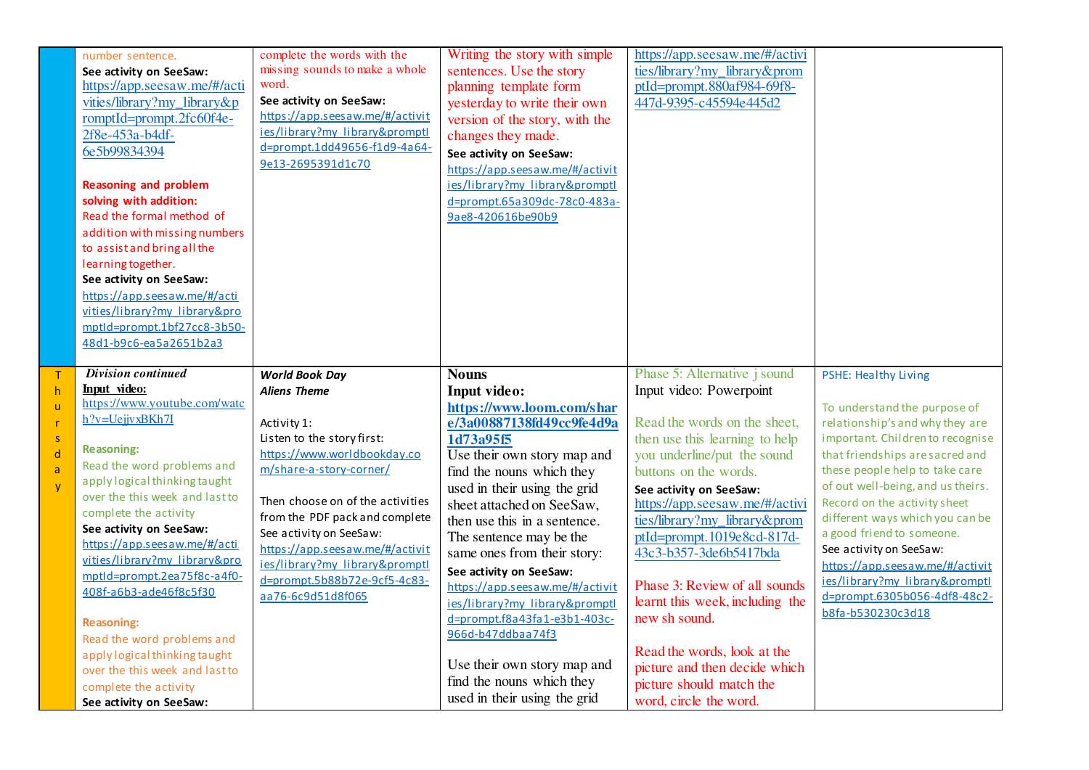|        | number sentence.<br>See activity on SeeSaw:<br>https://app.seesaw.me/#/acti                                                                                                                                                                                                                                                                                                                        | complete the words with the<br>missing sounds to make a whole<br>word.                                                                            | Writing the story with simple<br>sentences. Use the story<br>planning template form                                                                                                                                                       | https://app.seesaw.me/#/activi<br>ties/library?my library&prom<br>ptId=prompt.880af984-69f8-                           |                                                                                                                         |
|--------|----------------------------------------------------------------------------------------------------------------------------------------------------------------------------------------------------------------------------------------------------------------------------------------------------------------------------------------------------------------------------------------------------|---------------------------------------------------------------------------------------------------------------------------------------------------|-------------------------------------------------------------------------------------------------------------------------------------------------------------------------------------------------------------------------------------------|------------------------------------------------------------------------------------------------------------------------|-------------------------------------------------------------------------------------------------------------------------|
|        | vities/library?my library&p<br>romptId=prompt.2fc60f4e-<br>2f8e-453a-b4df-<br>6e5b99834394<br><b>Reasoning and problem</b><br>solving with addition:<br>Read the formal method of<br>addition with missing numbers<br>to assist and bring all the<br>learning together.<br>See activity on SeeSaw:<br>https://app.seesaw.me/#/acti<br>vities/library?my library&pro<br>mptld=prompt.1bf27cc8-3b50- | See activity on SeeSaw:<br>https://app.seesaw.me/#/activit<br>ies/library?my library&promptl<br>d=prompt.1dd49656-f1d9-4a64-<br>9e13-2695391d1c70 | yesterday to write their own<br>version of the story, with the<br>changes they made.<br>See activity on SeeSaw:<br>https://app.seesaw.me/#/activit<br>ies/library?my library&promptl<br>d=prompt.65a309dc-78c0-483a-<br>9ae8-420616be90b9 | 447d-9395-c45594e445d2                                                                                                 |                                                                                                                         |
|        | 48d1-b9c6-ea5a2651b2a3                                                                                                                                                                                                                                                                                                                                                                             |                                                                                                                                                   |                                                                                                                                                                                                                                           |                                                                                                                        |                                                                                                                         |
|        | <b>Division continued</b><br>Input video:<br>https://www.youtube.com/watc                                                                                                                                                                                                                                                                                                                          | <b>World Book Day</b><br><b>Aliens Theme</b>                                                                                                      | <b>Nouns</b><br>Input video:                                                                                                                                                                                                              | Phase 5: Alternative j sound<br>Input video: Powerpoint                                                                | <b>PSHE: Healthy Living</b>                                                                                             |
| Ś.     | h?v=UejjvxBKh7I                                                                                                                                                                                                                                                                                                                                                                                    | Activity 1:<br>Listen to the story first:                                                                                                         | https://www.loom.com/shar<br>e/3a00887138fd49cc9fe4d9a<br>1d73a95f5                                                                                                                                                                       | Read the words on the sheet,<br>then use this learning to help                                                         | To understand the purpose of<br>relationship's and why they are<br>important. Children to recognise                     |
| ď<br>ă | <b>Reasoning:</b><br>Read the word problems and<br>apply logical thinking taught                                                                                                                                                                                                                                                                                                                   | https://www.worldbookday.co<br>m/share-a-story-corner/                                                                                            | Use their own story map and<br>find the nouns which they<br>used in their using the grid                                                                                                                                                  | you underline/put the sound<br>buttons on the words.<br>See activity on SeeSaw:                                        | that friendships are sacred and<br>these people help to take care<br>of out well-being, and us theirs.                  |
|        | over the this week and last to<br>complete the activity<br>See activity on SeeSaw:<br>https://app.seesaw.me/#/acti<br>vities/library?my_library&pro                                                                                                                                                                                                                                                | Then choose on of the activities<br>from the PDF pack and complete<br>See activity on SeeSaw:<br>https://app.seesaw.me/#/activit                  | sheet attached on SeeSaw,<br>then use this in a sentence.<br>The sentence may be the<br>same ones from their story:                                                                                                                       | https://app.seesaw.me/#/activi<br>ties/library?my_library&prom<br>ptId=prompt.1019e8cd-817d-<br>43c3-b357-3de6b5417bda | Record on the activity sheet<br>different ways which you can be<br>a good friend to someone.<br>See activity on SeeSaw: |
|        | mptld=prompt.2ea75f8c-a4f0-<br>408f-a6b3-ade46f8c5f30<br><b>Reasoning:</b>                                                                                                                                                                                                                                                                                                                         | ies/library?my library&promptl<br>d=prompt.5b88b72e-9cf5-4c83-<br>aa76-6c9d51d8f065                                                               | See activity on SeeSaw:<br>https://app.seesaw.me/#/activit<br>ies/library?my library&promptl<br>d=prompt.f8a43fa1-e3b1-403c-                                                                                                              | Phase 3: Review of all sounds<br>learnt this week, including the<br>new sh sound.                                      | https://app.seesaw.me/#/activit<br>ies/library?my library&promptl<br>d=prompt.6305b056-4df8-48c2-<br>b8fa-b530230c3d18  |
|        | Read the word problems and<br>apply logical thinking taught<br>over the this week and last to<br>complete the activity<br>See activity on SeeSaw:                                                                                                                                                                                                                                                  |                                                                                                                                                   | 966d-b47ddbaa74f3<br>Use their own story map and<br>find the nouns which they<br>used in their using the grid                                                                                                                             | Read the words, look at the<br>picture and then decide which<br>picture should match the<br>word, circle the word.     |                                                                                                                         |

T h u r s d a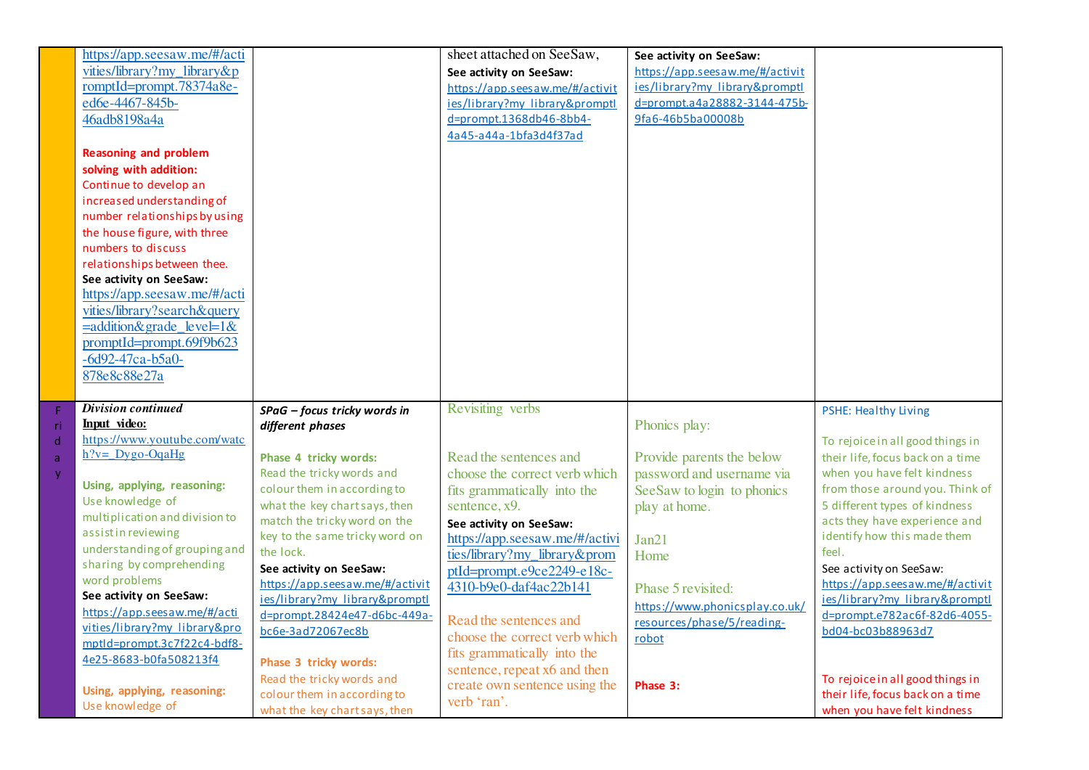|                    | https://app.seesaw.me/#/acti                       |                                                                | sheet attached on SeeSaw,                    | See activity on SeeSaw:         |                                                                 |
|--------------------|----------------------------------------------------|----------------------------------------------------------------|----------------------------------------------|---------------------------------|-----------------------------------------------------------------|
|                    | vities/library?my_library&p                        |                                                                | See activity on SeeSaw:                      | https://app.seesaw.me/#/activit |                                                                 |
|                    | romptId=prompt.78374a8e-                           |                                                                | https://app.seesaw.me/#/activit              | ies/library?my library&promptl  |                                                                 |
|                    | ed6e-4467-845b-                                    |                                                                | ies/library?my library&promptl               | d=prompt.a4a28882-3144-475b-    |                                                                 |
|                    | 46adb8198a4a                                       |                                                                | d=prompt.1368db46-8bb4-                      | 9fa6-46b5ba00008b               |                                                                 |
|                    |                                                    |                                                                | 4a45-a44a-1bfa3d4f37ad                       |                                 |                                                                 |
|                    | <b>Reasoning and problem</b>                       |                                                                |                                              |                                 |                                                                 |
|                    | solving with addition:                             |                                                                |                                              |                                 |                                                                 |
|                    | Continue to develop an                             |                                                                |                                              |                                 |                                                                 |
|                    | increased understanding of                         |                                                                |                                              |                                 |                                                                 |
|                    | number relationships by using                      |                                                                |                                              |                                 |                                                                 |
|                    | the house figure, with three                       |                                                                |                                              |                                 |                                                                 |
|                    | numbers to discuss                                 |                                                                |                                              |                                 |                                                                 |
|                    | relationships between thee.                        |                                                                |                                              |                                 |                                                                 |
|                    | See activity on SeeSaw:                            |                                                                |                                              |                                 |                                                                 |
|                    | https://app.seesaw.me/#/acti                       |                                                                |                                              |                                 |                                                                 |
|                    | vities/library?search&query                        |                                                                |                                              |                                 |                                                                 |
|                    | $=$ addition&grade_level=1&                        |                                                                |                                              |                                 |                                                                 |
|                    | promptId=prompt.69f9b623                           |                                                                |                                              |                                 |                                                                 |
|                    | $-6d92-47ca-b5a0-$                                 |                                                                |                                              |                                 |                                                                 |
|                    |                                                    |                                                                |                                              |                                 |                                                                 |
|                    |                                                    |                                                                |                                              |                                 |                                                                 |
|                    | 878e8c88e27a                                       |                                                                |                                              |                                 |                                                                 |
|                    |                                                    |                                                                |                                              |                                 |                                                                 |
|                    | <b>Division continued</b>                          | SPaG - focus tricky words in                                   | Revisiting verbs                             |                                 | <b>PSHE: Healthy Living</b>                                     |
|                    | Input video:                                       | different phases                                               |                                              | Phonics play:                   |                                                                 |
|                    | https://www.youtube.com/watc<br>$h$ ?v= Dygo-OqaHg |                                                                |                                              |                                 | To rejoice in all good things in                                |
|                    |                                                    | Phase 4 tricky words:                                          | Read the sentences and                       | Provide parents the below       | their life, focus back on a time                                |
|                    | Using, applying, reasoning:                        | Read the tricky words and                                      | choose the correct verb which                | password and username via       | when you have felt kindness                                     |
|                    | Use knowledge of                                   | colour them in according to                                    | fits grammatically into the                  | See Saw to login to phonics     | from those around you. Think of                                 |
|                    | multiplication and division to                     | what the key chartsays, then                                   | sentence, x9.                                | play at home.                   | 5 different types of kindness                                   |
|                    | assistin reviewing                                 | match the tricky word on the<br>key to the same tricky word on | See activity on SeeSaw:                      |                                 | acts they have experience and<br>identify how this made them    |
|                    | understanding of grouping and                      | the lock.                                                      | https://app.seesaw.me/#/activi               | Jan21                           | feel.                                                           |
|                    | sharing by comprehending                           | See activity on SeeSaw:                                        | ties/library?my_library&prom                 | Home                            | See activity on SeeSaw:                                         |
|                    | word problems                                      | https://app.seesaw.me/#/activit                                | ptId=prompt.e9ce2249-e18c-                   |                                 | https://app.seesaw.me/#/activit                                 |
|                    | See activity on SeeSaw:                            | ies/library?my library&promptl                                 | 4310-b9e0-daf4ac22b141                       | Phase 5 revisited:              | ies/library?my library&promptl                                  |
|                    | https://app.seesaw.me/#/acti                       | d=prompt.28424e47-d6bc-449a-                                   | Read the sentences and                       | https://www.phonicsplay.co.uk/  | d=prompt.e782ac6f-82d6-4055-                                    |
|                    | vities/library?my library&pro                      | bc6e-3ad72067ec8b                                              |                                              | resources/phase/5/reading-      | bd04-bc03b88963d7                                               |
|                    | mptld=prompt.3c7f22c4-bdf8-                        |                                                                | choose the correct verb which                | robot                           |                                                                 |
|                    | 4e25-8683-b0fa508213f4                             | Phase 3 tricky words:                                          | fits grammatically into the                  |                                 |                                                                 |
|                    |                                                    | Read the tricky words and                                      | sentence, repeat x6 and then                 |                                 | To rejoice in all good things in                                |
| ri<br>ď<br>ă<br>y. | Using, applying, reasoning:<br>Use knowledge of    | colour them in according to<br>what the key chartsays, then    | create own sentence using the<br>verb 'ran'. | Phase 3:                        | their life, focus back on a time<br>when you have felt kindness |